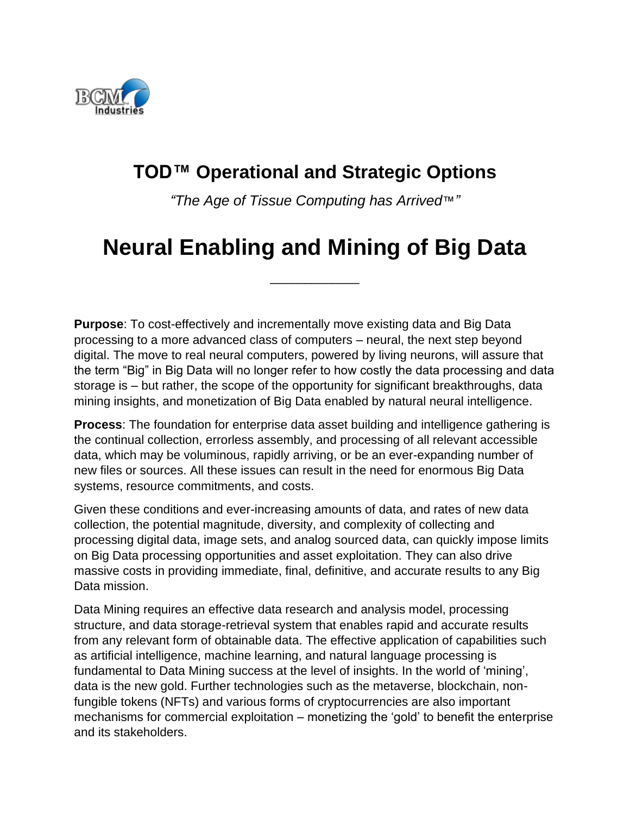

## **TOD™ Operational and Strategic Options**

*"The Age of Tissue Computing has Arrived*™*"*

## **Neural Enabling and Mining of Big Data**

\_\_\_\_\_\_\_\_\_\_\_\_\_

**Purpose**: To cost-effectively and incrementally move existing data and Big Data processing to a more advanced class of computers – neural, the next step beyond digital. The move to real neural computers, powered by living neurons, will assure that the term "Big" in Big Data will no longer refer to how costly the data processing and data storage is – but rather, the scope of the opportunity for significant breakthroughs, data mining insights, and monetization of Big Data enabled by natural neural intelligence.

**Process**: The foundation for enterprise data asset building and intelligence gathering is the continual collection, errorless assembly, and processing of all relevant accessible data, which may be voluminous, rapidly arriving, or be an ever-expanding number of new files or sources. All these issues can result in the need for enormous Big Data systems, resource commitments, and costs.

Given these conditions and ever-increasing amounts of data, and rates of new data collection, the potential magnitude, diversity, and complexity of collecting and processing digital data, image sets, and analog sourced data, can quickly impose limits on Big Data processing opportunities and asset exploitation. They can also drive massive costs in providing immediate, final, definitive, and accurate results to any Big Data mission.

Data Mining requires an effective data research and analysis model, processing structure, and data storage-retrieval system that enables rapid and accurate results from any relevant form of obtainable data. The effective application of capabilities such as artificial intelligence, machine learning, and natural language processing is fundamental to Data Mining success at the level of insights. In the world of 'mining', data is the new gold. Further technologies such as the metaverse, blockchain, nonfungible tokens (NFTs) and various forms of cryptocurrencies are also important mechanisms for commercial exploitation – monetizing the 'gold' to benefit the enterprise and its stakeholders.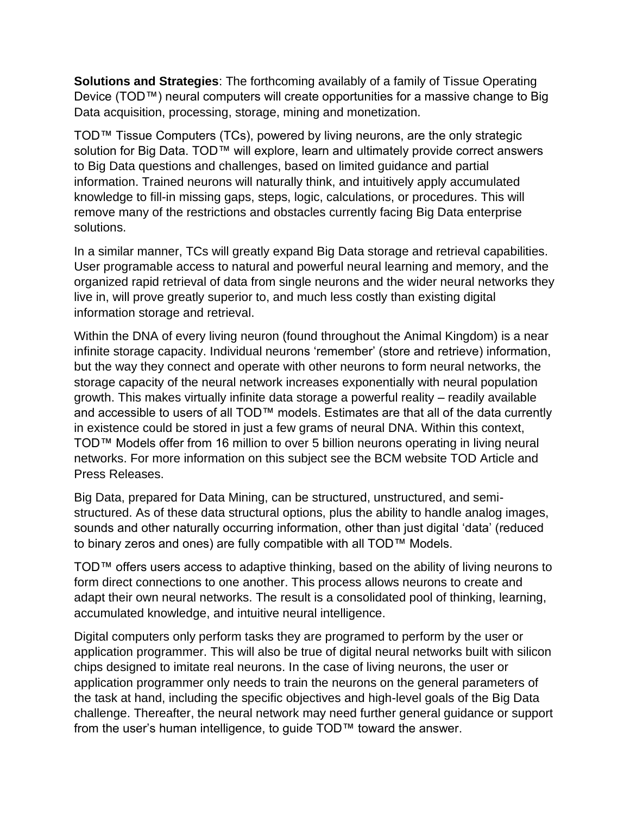**Solutions and Strategies**: The forthcoming availably of a family of Tissue Operating Device (TOD™) neural computers will create opportunities for a massive change to Big Data acquisition, processing, storage, mining and monetization.

TOD™ Tissue Computers (TCs), powered by living neurons, are the only strategic solution for Big Data. TOD™ will explore, learn and ultimately provide correct answers to Big Data questions and challenges, based on limited guidance and partial information. Trained neurons will naturally think, and intuitively apply accumulated knowledge to fill-in missing gaps, steps, logic, calculations, or procedures. This will remove many of the restrictions and obstacles currently facing Big Data enterprise solutions.

In a similar manner, TCs will greatly expand Big Data storage and retrieval capabilities. User programable access to natural and powerful neural learning and memory, and the organized rapid retrieval of data from single neurons and the wider neural networks they live in, will prove greatly superior to, and much less costly than existing digital information storage and retrieval.

Within the DNA of every living neuron (found throughout the Animal Kingdom) is a near infinite storage capacity. Individual neurons 'remember' (store and retrieve) information, but the way they connect and operate with other neurons to form neural networks, the storage capacity of the neural network increases exponentially with neural population growth. This makes virtually infinite data storage a powerful reality – readily available and accessible to users of all TOD™ models. Estimates are that all of the data currently in existence could be stored in just a few grams of neural DNA. Within this context, TOD™ Models offer from 16 million to over 5 billion neurons operating in living neural networks. For more information on this subject see the BCM website TOD Article and Press Releases.

Big Data, prepared for Data Mining, can be structured, unstructured, and semistructured. As of these data structural options, plus the ability to handle analog images, sounds and other naturally occurring information, other than just digital 'data' (reduced to binary zeros and ones) are fully compatible with all TOD™ Models.

TOD™ offers users access to adaptive thinking, based on the ability of living neurons to form direct connections to one another. This process allows neurons to create and adapt their own neural networks. The result is a consolidated pool of thinking, learning, accumulated knowledge, and intuitive neural intelligence.

Digital computers only perform tasks they are programed to perform by the user or application programmer. This will also be true of digital neural networks built with silicon chips designed to imitate real neurons. In the case of living neurons, the user or application programmer only needs to train the neurons on the general parameters of the task at hand, including the specific objectives and high-level goals of the Big Data challenge. Thereafter, the neural network may need further general guidance or support from the user's human intelligence, to guide TOD™ toward the answer.